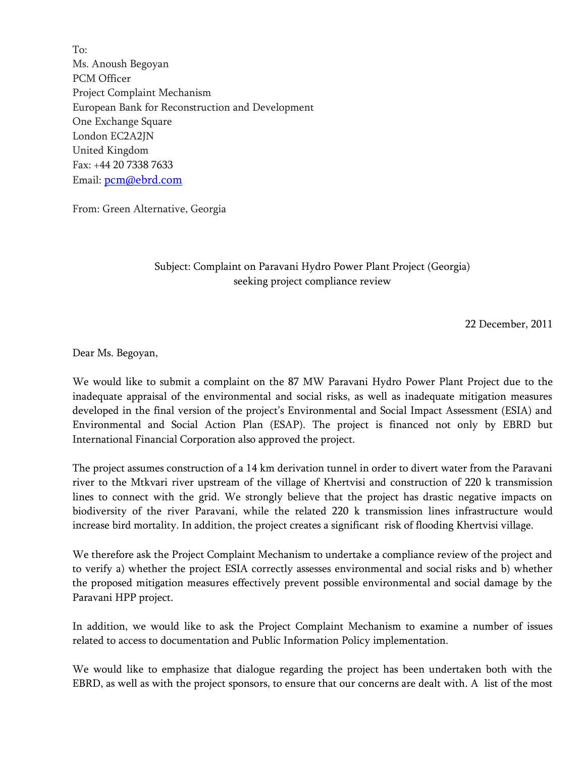To: Ms. Anoush Begoyan PCM Officer Project Complaint Mechanism European Bank for Reconstruction and Development One Exchange Square London EC2A2JN United Kingdom Fax: +44 20 7338 7633 Email: pcm@ebrd.com

From: Green Alternative, Georgia

### Subject: Complaint on Paravani Hydro Power Plant Project (Georgia) seeking project compliance review

22 December, 2011

Dear Ms. Begoyan,

We would like to submit a complaint on the 87 MW Paravani Hydro Power Plant Project due to the inadequate appraisal of the environmental and social risks, as well as inadequate mitigation measures developed in the final version of the project's Environmental and Social Impact Assessment (ESIA) and Environmental and Social Action Plan (ESAP). The project is financed not only by EBRD but International Financial Corporation also approved the project.

The project assumes construction of a 14 km derivation tunnel in order to divert water from the Paravani river to the Mtkvari river upstream of the village of Khertvisi and construction of 220 k transmission lines to connect with the grid. We strongly believe that the project has drastic negative impacts on biodiversity of the river Paravani, while the related 220 k transmission lines infrastructure would increase bird mortality. In addition, the project creates a significant risk of flooding Khertvisi village.

We therefore ask the Project Complaint Mechanism to undertake a compliance review of the project and to verify a) whether the project ESIA correctly assesses environmental and social risks and b) whether the proposed mitigation measures effectively prevent possible environmental and social damage by the Paravani HPP project.

In addition, we would like to ask the Project Complaint Mechanism to examine a number of issues related to access to documentation and Public Information Policy implementation.

We would like to emphasize that dialogue regarding the project has been undertaken both with the EBRD, as well as with the project sponsors, to ensure that our concerns are dealt with. A list of the most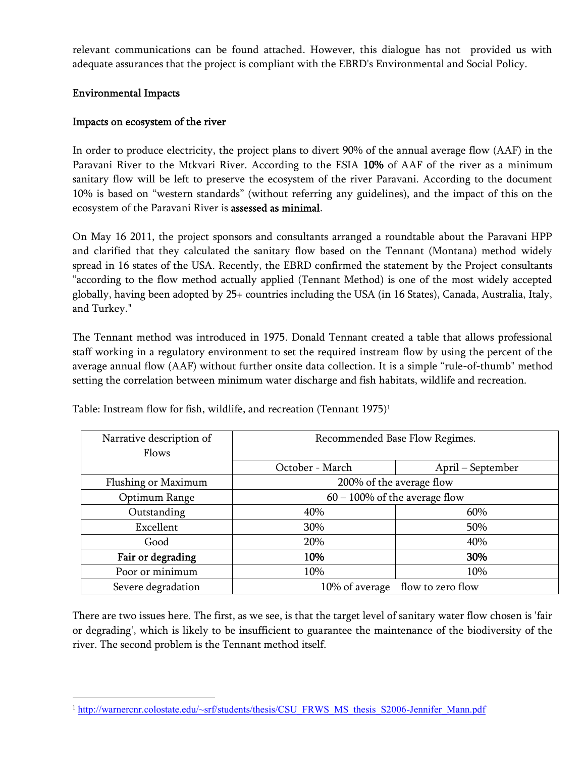relevant communications can be found attached. However, this dialogue has not provided us with adequate assurances that the project is compliant with the EBRD's Environmental and Social Policy.

# **Environmental Impacts**

## **Impacts on ecosystem of the river**

In order to produce electricity, the project plans to divert 90% of the annual average flow (AAF) in the Paravani River to the Mtkvari River. According to the ESIA **10%** of AAF of the river as a minimum sanitary flow will be left to preserve the ecosystem of the river Paravani. According to the document 10% is based on "western standards" (without referring any guidelines), and the impact of this on the ecosystem of the Paravani River is **assessed as minimal**.

On May 16 2011, the project sponsors and consultants arranged a roundtable about the Paravani HPP and clarified that they calculated the sanitary flow based on the Tennant (Montana) method widely spread in 16 states of the USA. Recently, the EBRD confirmed the statement by the Project consultants "according to the flow method actually applied (Tennant Method) is one of the most widely accepted globally, having been adopted by 25+ countries including the USA (in 16 States), Canada, Australia, Italy, and Turkey."

The Tennant method was introduced in 1975. Donald Tennant created a table that allows professional staff working in a regulatory environment to set the required instream flow by using the percent of the average annual flow (AAF) without further onsite data collection. It is a simple "rule-of-thumb" method setting the correlation between minimum water discharge and fish habitats, wildlife and recreation.

| Narrative description of | Recommended Base Flow Regimes.   |                   |
|--------------------------|----------------------------------|-------------------|
| Flows                    |                                  |                   |
|                          | October - March                  | April – September |
| Flushing or Maximum      | 200% of the average flow         |                   |
| Optimum Range            | $60 - 100\%$ of the average flow |                   |
| Outstanding              | 40%                              | 60%               |
| Excellent                | 30%                              | 50%               |
| Good                     | 20%                              | 40%               |
| Fair or degrading        | 10%                              | 30%               |
| Poor or minimum          | 10%                              | 10%               |
| Severe degradation       | 10% of average                   | flow to zero flow |

Table: Instream flow for fish, wildlife, and recreation (Tennant 1975)<sup>1</sup>

There are two issues here. The first, as we see, is that the target level of sanitary water flow chosen is 'fair or degrading', which is likely to be insufficient to guarantee the maintenance of the biodiversity of the river. The second problem is the Tennant method itself.

<sup>&</sup>lt;sup>1</sup> http://warnercnr.colostate.edu/~srf/students/thesis/CSU\_FRWS\_MS\_thesis\_S2006-Jennifer\_Mann.pdf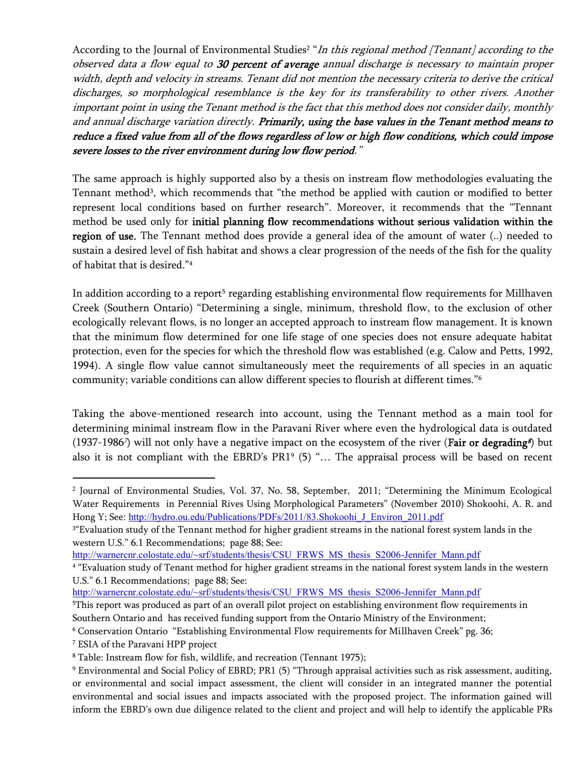According to the Journal of Environmental Studies<sup>2</sup> "In this regional method [Tennant] according to the *observed data a flow equal to 30 percent of average annual discharge is necessary to maintain proper width, depth and velocity in streams. Tenant did not mention the necessary criteria to derive the critical discharges, so morphological resemblance is the key for its transferability to other rivers. Another important point in using the Tenant method is the fact that this method does not consider daily, monthly and annual discharge variation directly. Primarily, using the base values in the Tenant method means to reduce a fixed value from all of the flows regardless of low or high flow conditions, which could impose severe losses to the river environment during low flow period."*

The same approach is highly supported also by a thesis on instream flow methodologies evaluating the Tennant method<sup>3</sup>, which recommends that "the method be applied with caution or modified to better represent local conditions based on further research". Moreover, it recommends that the "Tennant method be used only for **initial planning flow recommendations without serious validation within the region of use.** The Tennant method does provide a general idea of the amount of water (..) needed to sustain a desired level of fish habitat and shows a clear progression of the needs of the fish for the quality of habitat that is desired."<sup>4</sup>

In addition according to a report<sup>5</sup> regarding establishing environmental flow requirements for Millhaven Creek (Southern Ontario) "Determining a single, minimum, threshold flow, to the exclusion of other ecologically relevant flows, is no longer an accepted approach to instream flow management. It is known that the minimum flow determined for one life stage of one species does not ensure adequate habitat protection, even for the species for which the threshold flow was established (e.g. Calow and Petts, 1992, 1994). A single flow value cannot simultaneously meet the requirements of all species in an aquatic community; variable conditions can allow different species to flourish at different times."<sup>6</sup>

Taking the above-mentioned research into account, using the Tennant method as a main tool for determining minimal instream flow in the Paravani River where even the hydrological data is outdated (1937-1986*<sup>7</sup>* ) will not only have a negative impact on the ecosystem of the river (**Fair or degrading***<sup>8</sup>* ) but also it is not compliant with the EBRD's PR1<sup>9</sup> (5) "... The appraisal process will be based on recent

http://warnercnr.colostate.edu/~srf/students/thesis/CSU\_FRWS\_MS\_thesis\_S2006-Jennifer\_Mann.pdf

<sup>5</sup>This report was produced as part of an overall pilot project on establishing environment flow requirements in Southern Ontario and has received funding support from the Ontario Ministry of the Environment;

<sup>6</sup> Conservation Ontario "Establishing Environmental Flow requirements for Millhaven Creek" pg. 36;

<sup>7</sup> ESIA of the Paravani HPP project

<sup>2</sup> Journal of Environmental Studies, Vol. 37, No. 58, September, 2011; "Determining the Minimum Ecological Water Requirements in Perennial Rives Using Morphological Parameters" (November 2010) Shokoohi, A. R. and Hong Y; See: http://hydro.ou.edu/Publications/PDFs/2011/83.Shokoohi\_J\_Environ\_2011.pdf

<sup>3</sup> "Evaluation study of the Tennant method for higher gradient streams in the national forest system lands in the western U.S." 6.1 Recommendations; page 88; See:

http://warnercnr.colostate.edu/~srf/students/thesis/CSU\_FRWS\_MS\_thesis\_S2006-Jennifer\_Mann.pdf

<sup>4</sup> "Evaluation study of Tenant method for higher gradient streams in the national forest system lands in the western U.S." 6.1 Recommendations; page 88; See:

<sup>8</sup> Table: Instream flow for fish, wildlife, and recreation (Tennant 1975);

<sup>9</sup> Environmental and Social Policy of EBRD; PR1 (5) "Through appraisal activities such as risk assessment, auditing, or environmental and social impact assessment, the client will consider in an integrated manner the potential environmental and social issues and impacts associated with the proposed project. The information gained will inform the EBRD's own due diligence related to the client and project and will help to identify the applicable PRs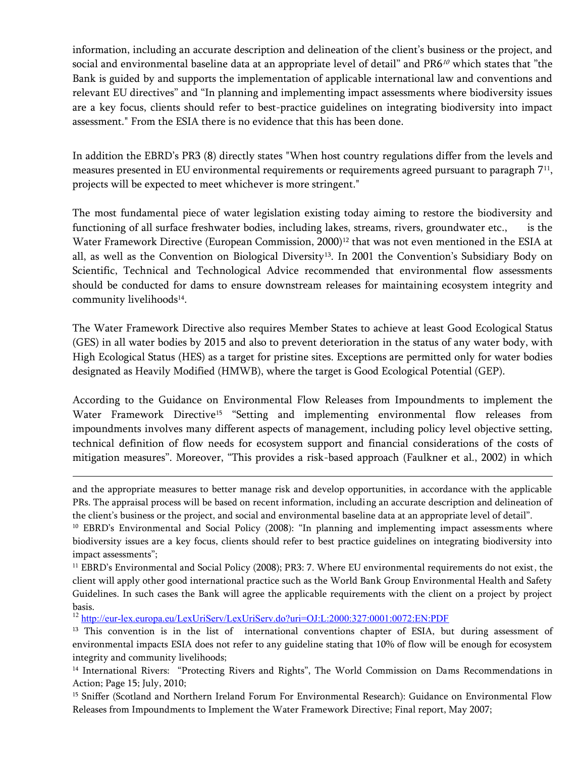information, including an accurate description and delineation of the client's business or the project, and social and environmental baseline data at an appropriate level of detail" and PR6*<sup>10</sup>* which states that "the Bank is guided by and supports the implementation of applicable international law and conventions and relevant EU directives" and "In planning and implementing impact assessments where biodiversity issues are a key focus, clients should refer to best-practice guidelines on integrating biodiversity into impact assessment." From the ESIA there is no evidence that this has been done.

In addition the EBRD's PR3 (8) directly states "When host country regulations differ from the levels and measures presented in EU environmental requirements or requirements agreed pursuant to paragraph  $7^{\scriptscriptstyle 11},$ projects will be expected to meet whichever is more stringent."

The most fundamental piece of water legislation existing today aiming to restore the biodiversity and functioning of all surface freshwater bodies, including lakes, streams, rivers, groundwater etc., is the Water Framework Directive (European Commission, 2000)<sup>12</sup> that was not even mentioned in the ESIA at all, as well as the Convention on Biological Diversity<sup>13</sup>. In 2001 the Convention's Subsidiary Body on Scientific, Technical and Technological Advice recommended that environmental flow assessments should be conducted for dams to ensure downstream releases for maintaining ecosystem integrity and community livelihoods<sup>14</sup>.

The Water Framework Directive also requires Member States to achieve at least Good Ecological Status (GES) in all water bodies by 2015 and also to prevent deterioration in the status of any water body, with High Ecological Status (HES) as a target for pristine sites. Exceptions are permitted only for water bodies designated as Heavily Modified (HMWB), where the target is Good Ecological Potential (GEP).

According to the Guidance on Environmental Flow Releases from Impoundments to implement the Water Framework Directive<sup>15</sup> "Setting and implementing environmental flow releases from impoundments involves many different aspects of management, including policy level objective setting, technical definition of flow needs for ecosystem support and financial considerations of the costs of mitigation measures". Moreover, "This provides a risk-based approach (Faulkner et al., 2002) in which

and the appropriate measures to better manage risk and develop opportunities, in accordance with the applicable PRs. The appraisal process will be based on recent information, including an accurate description and delineation of the client's business or the project, and social and environmental baseline data at an appropriate level of detail".

<sup>10</sup> EBRD's Environmental and Social Policy (2008): "In planning and implementing impact assessments where biodiversity issues are a key focus, clients should refer to best practice guidelines on integrating biodiversity into impact assessments";

<sup>&</sup>lt;sup>11</sup> EBRD's Environmental and Social Policy (2008); PR3: 7. Where EU environmental requirements do not exist, the client will apply other good international practice such as the World Bank Group Environmental Health and Safety Guidelines. In such cases the Bank will agree the applicable requirements with the client on a project by project basis.

<sup>12</sup> http://eur-lex.europa.eu/LexUriServ/LexUriServ.do?uri=OJ:L:2000:327:0001:0072:EN:PDF

<sup>&</sup>lt;sup>13</sup> This convention is in the list of international conventions chapter of ESIA, but during assessment of environmental impacts ESIA does not refer to any guideline stating that 10% of flow will be enough for ecosystem integrity and community livelihoods;

<sup>14</sup> International Rivers: "Protecting Rivers and Rights", The World Commission on Dams Recommendations in Action; Page 15; July, 2010;

<sup>&</sup>lt;sup>15</sup> Sniffer (Scotland and Northern Ireland Forum For Environmental Research): Guidance on Environmental Flow Releases from Impoundments to Implement the Water Framework Directive; Final report, May 2007;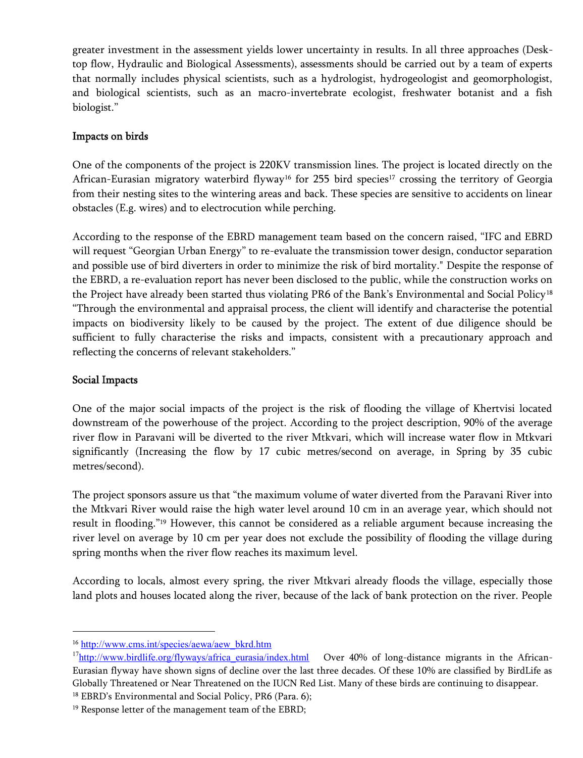greater investment in the assessment yields lower uncertainty in results. In all three approaches (Desktop flow, Hydraulic and Biological Assessments), assessments should be carried out by a team of experts that normally includes physical scientists, such as a hydrologist, hydrogeologist and geomorphologist, and biological scientists, such as an macro-invertebrate ecologist, freshwater botanist and a fish biologist."

### **Impacts on birds**

One of the components of the project is 220KV transmission lines. The project is located directly on the African-Eurasian migratory waterbird flyway<sup>16</sup> for 255 bird species<sup>17</sup> crossing the territory of Georgia from their nesting sites to the wintering areas and back. These species are sensitive to accidents on linear obstacles (E.g. wires) and to electrocution while perching.

According to the response of the EBRD management team based on the concern raised, "IFC and EBRD will request "Georgian Urban Energy" to re-evaluate the transmission tower design, conductor separation and possible use of bird diverters in order to minimize the risk of bird mortality." Despite the response of the EBRD, a re-evaluation report has never been disclosed to the public, while the construction works on the Project have already been started thus violating PR6 of the Bank's Environmental and Social Policy<sup>18</sup> "Through the environmental and appraisal process, the client will identify and characterise the potential impacts on biodiversity likely to be caused by the project. The extent of due diligence should be sufficient to fully characterise the risks and impacts, consistent with a precautionary approach and reflecting the concerns of relevant stakeholders."

### **Social Impacts**

One of the major social impacts of the project is the risk of flooding the village of Khertvisi located downstream of the powerhouse of the project. According to the project description, 90% of the average river flow in Paravani will be diverted to the river Mtkvari, which will increase water flow in Mtkvari significantly (Increasing the flow by 17 cubic metres/second on average, in Spring by 35 cubic metres/second).

The project sponsors assure us that "the maximum volume of water diverted from the Paravani River into the Mtkvari River would raise the high water level around 10 cm in an average year, which should not result in flooding."<sup>19</sup> However, this cannot be considered as a reliable argument because increasing the river level on average by 10 cm per year does not exclude the possibility of flooding the village during spring months when the river flow reaches its maximum level.

According to locals, almost every spring, the river Mtkvari already floods the village, especially those land plots and houses located along the river, because of the lack of bank protection on the river. People

<sup>16</sup> http://www.cms.int/species/aewa/aew\_bkrd.htm

<sup>&</sup>lt;sup>17</sup>http://www.birdlife.org/flyways/africa\_eurasia/index.html Over 40% of long-distance migrants in the African-Eurasian flyway have shown signs of decline over the last three decades. Of these 10% are classified by BirdLife as Globally Threatened or Near Threatened on the IUCN Red List. Many of these birds are continuing to disappear.

<sup>&</sup>lt;sup>18</sup> EBRD's Environmental and Social Policy, PR6 (Para. 6);

<sup>&</sup>lt;sup>19</sup> Response letter of the management team of the EBRD;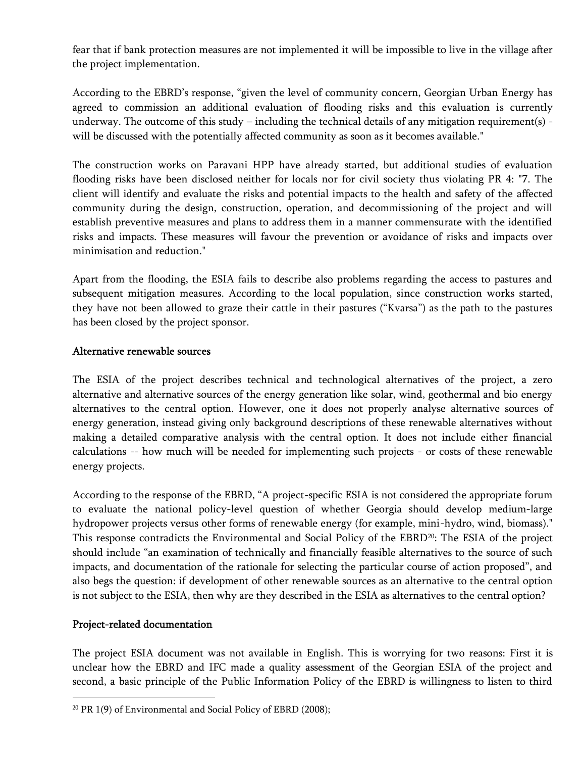fear that if bank protection measures are not implemented it will be impossible to live in the village after the project implementation.

According to the EBRD's response, "given the level of community concern, Georgian Urban Energy has agreed to commission an additional evaluation of flooding risks and this evaluation is currently underway. The outcome of this study – including the technical details of any mitigation requirement(s) will be discussed with the potentially affected community as soon as it becomes available."

The construction works on Paravani HPP have already started, but additional studies of evaluation flooding risks have been disclosed neither for locals nor for civil society thus violating PR 4: "7. The client will identify and evaluate the risks and potential impacts to the health and safety of the affected community during the design, construction, operation, and decommissioning of the project and will establish preventive measures and plans to address them in a manner commensurate with the identified risks and impacts. These measures will favour the prevention or avoidance of risks and impacts over minimisation and reduction."

Apart from the flooding, the ESIA fails to describe also problems regarding the access to pastures and subsequent mitigation measures. According to the local population, since construction works started, they have not been allowed to graze their cattle in their pastures ("Kvarsa") as the path to the pastures has been closed by the project sponsor.

### **Alternative renewable sources**

The ESIA of the project describes technical and technological alternatives of the project, a zero alternative and alternative sources of the energy generation like solar, wind, geothermal and bio energy alternatives to the central option. However, one it does not properly analyse alternative sources of energy generation, instead giving only background descriptions of these renewable alternatives without making a detailed comparative analysis with the central option. It does not include either financial calculations -- how much will be needed for implementing such projects - or costs of these renewable energy projects.

According to the response of the EBRD, "A project-specific ESIA is not considered the appropriate forum to evaluate the national policy-level question of whether Georgia should develop medium-large hydropower projects versus other forms of renewable energy (for example, mini-hydro, wind, biomass)." This response contradicts the Environmental and Social Policy of the EBRD<sup>20</sup>: The ESIA of the project should include "an examination of technically and financially feasible alternatives to the source of such impacts, and documentation of the rationale for selecting the particular course of action proposed", and also begs the question: if development of other renewable sources as an alternative to the central option is not subject to the ESIA, then why are they described in the ESIA as alternatives to the central option?

### **Project-related documentation**

The project ESIA document was not available in English. This is worrying for two reasons: First it is unclear how the EBRD and IFC made a quality assessment of the Georgian ESIA of the project and second, a basic principle of the Public Information Policy of the EBRD is willingness to listen to third

<sup>20</sup> PR 1(9) of Environmental and Social Policy of EBRD (2008);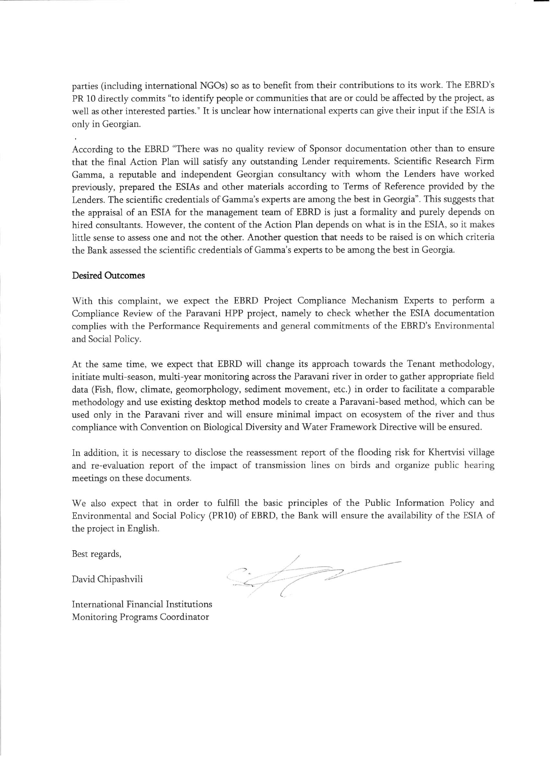parties (including international NGOs) so as to benefit from their contributions to its work. The EBRD's PR 10 directly commits "to identify people or communities that are or could be affected by the project, as well as other interested parties." It is unclear how international experts can give their input if the ESIA is only in Georgian.

According to the EBRD "There was no quality review of Sponsor documentation other than to ensure that the final Action Plan will satisfy any outstanding Lender requirements. Scientific Research Firm Gamma, a reputable and independent Georgian consultancy with whom the Lenders have worked previously, prepared the ESIAs and other materials according to Terms of Reference provided by the Lenders. The scientific credentials of Gamma's experts are among the best in Georgia". This suggests that the appraisal of an ESIA for the management team of EBRD is just a formality and purely depends on hired consultants. However, the content of the Action Plan depends on what is in the ESIA, so it makes little sense to assess one and not the other. Another question that needs to be raised is on which criteria the Bank assessed the scientific credentials of Gamma's experts to be among the best in Georgia.

#### **Desired Outcomes**

With this complaint, we expect the EBRD Project Compliance Mechanism Experts to perform a Compliance Review of the Paravani HPP project, namely to check whether the ESIA documentation complies with the Performance Requirements and general commitments of the EBRD's Environmental and Social Policy.

At the same time, we expect that EBRD will change its approach towards the Tenant methodology, initiate multi-season, multi-year monitoring across the Paravani river in order to gather appropriate field data (Fish, flow, climate, geomorphology, sediment movement, etc.) in order to facilitate a comparable methodology and use existing desktop method models to create a Paravani-based method, which can be used only in the Paravani river and will ensure minimal impact on ecosystem of the river and thus compliance with Convention on Biological Diversity and Water Framework Directive will be ensured.

In addition, it is necessary to disclose the reassessment report of the flooding risk for Khertvisi village and re-evaluation report of the impact of transmission lines on birds and organize public hearing meetings on these documents.

We also expect that in order to fulfill the basic principles of the Public Information Policy and Environmental and Social Policy (PR10) of EBRD, the Bank will ensure the availability of the ESIA of the project in English.

Best regards,

David Chipashvili

 $2772$ 

International Financial Institutions Monitoring Programs Coordinator